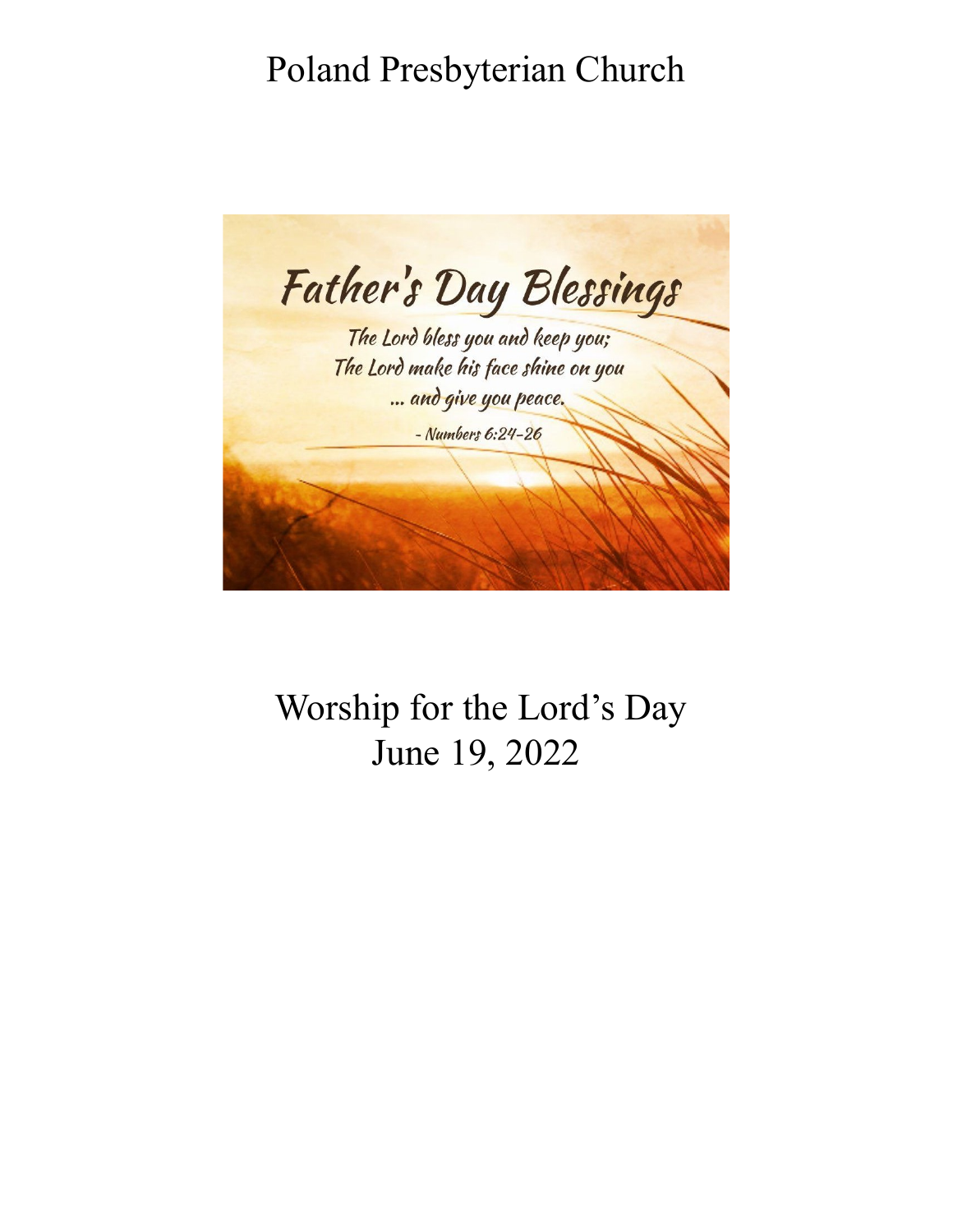# Poland Presbyterian Church



Worship for the Lord's Day June 19, 2022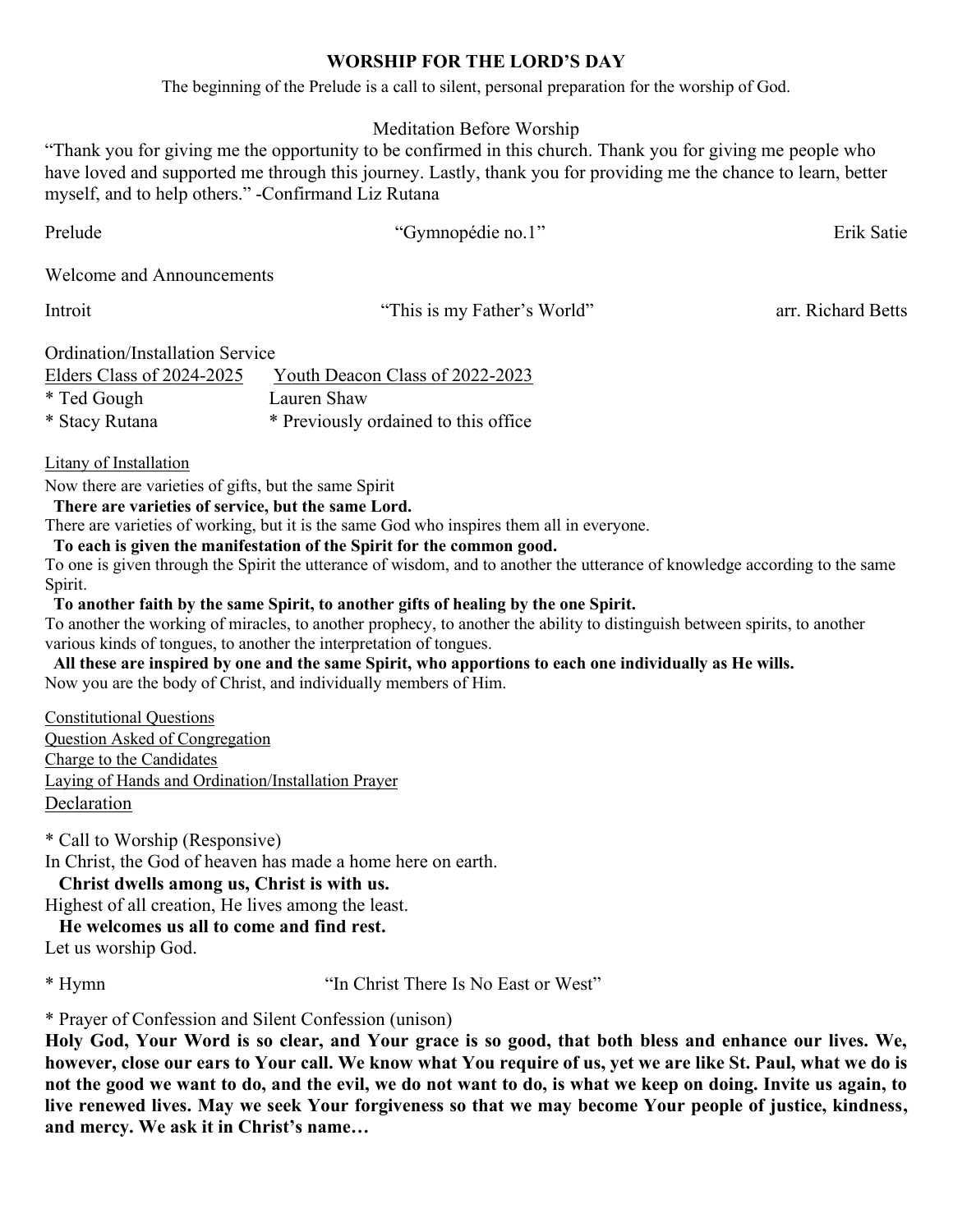## **WORSHIP FOR THE LORD'S DAY**

The beginning of the Prelude is a call to silent, personal preparation for the worship of God.

# Meditation Before Worship

"Thank you for giving me the opportunity to be confirmed in this church. Thank you for giving me people who have loved and supported me through this journey. Lastly, thank you for providing me the chance to learn, better myself, and to help others." -Confirmand Liz Rutana

| Prelude                          | "Gymnopédie no.1"                    | Erik Satie         |
|----------------------------------|--------------------------------------|--------------------|
| <b>Welcome and Announcements</b> |                                      |                    |
| Introit                          | "This is my Father's World"          | arr. Richard Betts |
| Ordination/Installation Service  |                                      |                    |
| Elders Class of 2024-2025        | Youth Deacon Class of 2022-2023      |                    |
| * Ted Gough                      | Lauren Shaw                          |                    |
| * Stacy Rutana                   | * Previously ordained to this office |                    |

Litany of Installation

Now there are varieties of gifts, but the same Spirit

**There are varieties of service, but the same Lord.**

There are varieties of working, but it is the same God who inspires them all in everyone.

**To each is given the manifestation of the Spirit for the common good.**

To one is given through the Spirit the utterance of wisdom, and to another the utterance of knowledge according to the same Spirit.

**To another faith by the same Spirit, to another gifts of healing by the one Spirit.**

To another the working of miracles, to another prophecy, to another the ability to distinguish between spirits, to another various kinds of tongues, to another the interpretation of tongues.

 **All these are inspired by one and the same Spirit, who apportions to each one individually as He wills.** Now you are the body of Christ, and individually members of Him.

Constitutional Questions Question Asked of Congregation Charge to the Candidates Laying of Hands and Ordination/Installation Prayer Declaration

\* Call to Worship (Responsive)

In Christ, the God of heaven has made a home here on earth.

**Christ dwells among us, Christ is with us.**

Highest of all creation, He lives among the least.

**He welcomes us all to come and find rest.**

Let us worship God.

\* Hymn "In Christ There Is No East or West"

\* Prayer of Confession and Silent Confession (unison)

**Holy God, Your Word is so clear, and Your grace is so good, that both bless and enhance our lives. We, however, close our ears to Your call. We know what You require of us, yet we are like St. Paul, what we do is not the good we want to do, and the evil, we do not want to do, is what we keep on doing. Invite us again, to live renewed lives. May we seek Your forgiveness so that we may become Your people of justice, kindness, and mercy. We ask it in Christ's name…**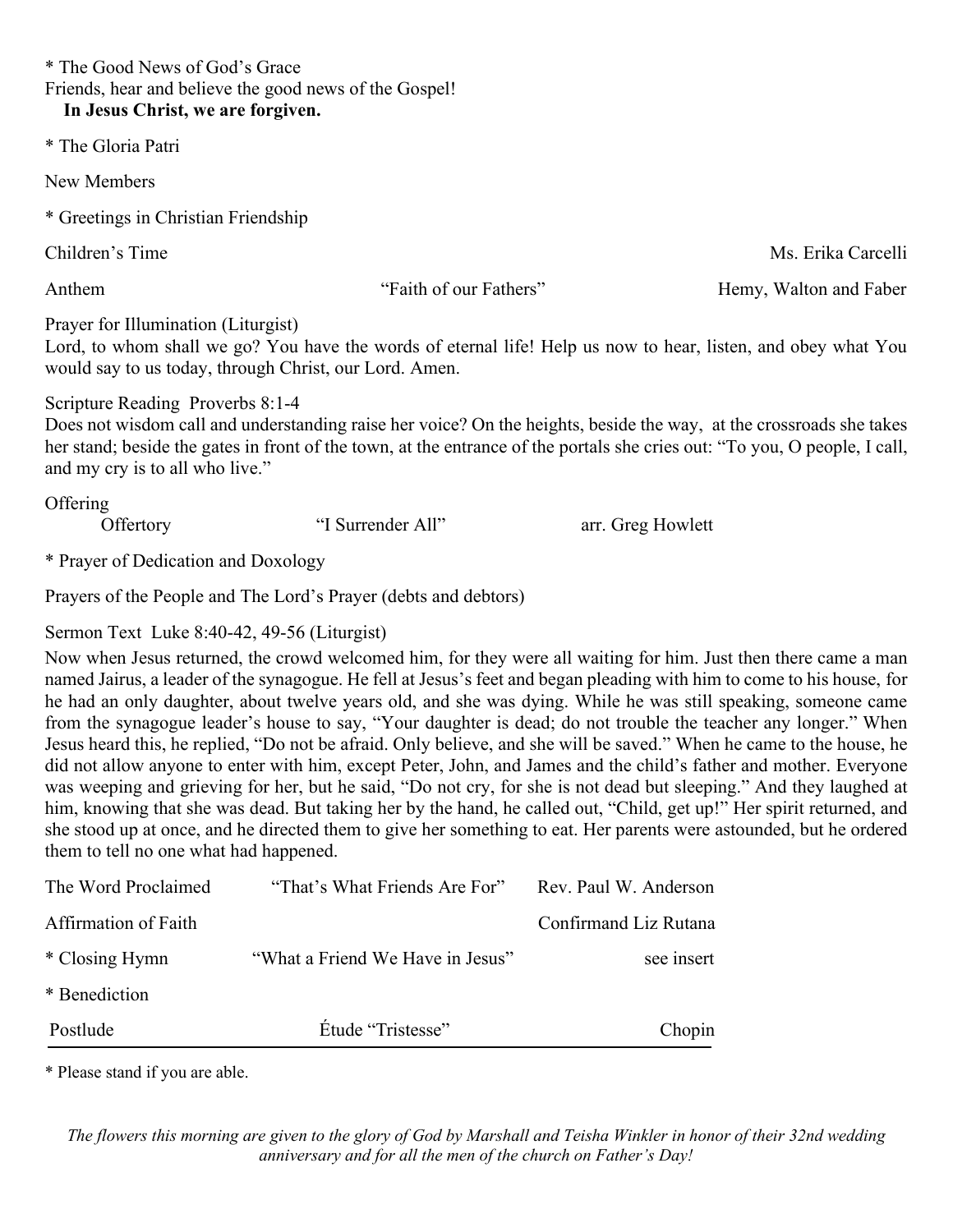\* The Good News of God's Grace Friends, hear and believe the good news of the Gospel! **In Jesus Christ, we are forgiven.**

\* The Gloria Patri

New Members

\* Greetings in Christian Friendship

Anthem "Faith of our Fathers" Hemy, Walton and Faber

Children's Time Ms. Erika Carcelli

Prayer for Illumination (Liturgist)

Lord, to whom shall we go? You have the words of eternal life! Help us now to hear, listen, and obey what You would say to us today, through Christ, our Lord. Amen.

Scripture Reading Proverbs 8:1-4

Does not wisdom call and understanding raise her voice? On the heights, beside the way, at the crossroads she takes her stand; beside the gates in front of the town, at the entrance of the portals she cries out: "To you, O people, I call, and my cry is to all who live."

**Offering** 

Offertory "I Surrender All" arr. Greg Howlett

\* Prayer of Dedication and Doxology

Prayers of the People and The Lord's Prayer (debts and debtors)

Sermon Text Luke 8:40-42, 49-56 (Liturgist)

Now when Jesus returned, the crowd welcomed him, for they were all waiting for him. Just then there came a man named Jairus, a leader of the synagogue. He fell at Jesus's feet and began pleading with him to come to his house, for he had an only daughter, about twelve years old, and she was dying. While he was still speaking, someone came from the synagogue leader's house to say, "Your daughter is dead; do not trouble the teacher any longer." When Jesus heard this, he replied, "Do not be afraid. Only believe, and she will be saved." When he came to the house, he did not allow anyone to enter with him, except Peter, John, and James and the child's father and mother. Everyone was weeping and grieving for her, but he said, "Do not cry, for she is not dead but sleeping." And they laughed at him, knowing that she was dead. But taking her by the hand, he called out, "Child, get up!" Her spirit returned, and she stood up at once, and he directed them to give her something to eat. Her parents were astounded, but he ordered them to tell no one what had happened.

| The Word Proclaimed  | "That's What Friends Are For"    | Rev. Paul W. Anderson |
|----------------------|----------------------------------|-----------------------|
| Affirmation of Faith |                                  | Confirmand Liz Rutana |
| * Closing Hymn       | "What a Friend We Have in Jesus" | see insert            |
| * Benediction        |                                  |                       |
| Postlude             | Étude "Tristesse"                | Chopin                |

\* Please stand if you are able.

*The flowers this morning are given to the glory of God by Marshall and Teisha Winkler in honor of their 32nd wedding anniversary and for all the men of the church on Father's Day!*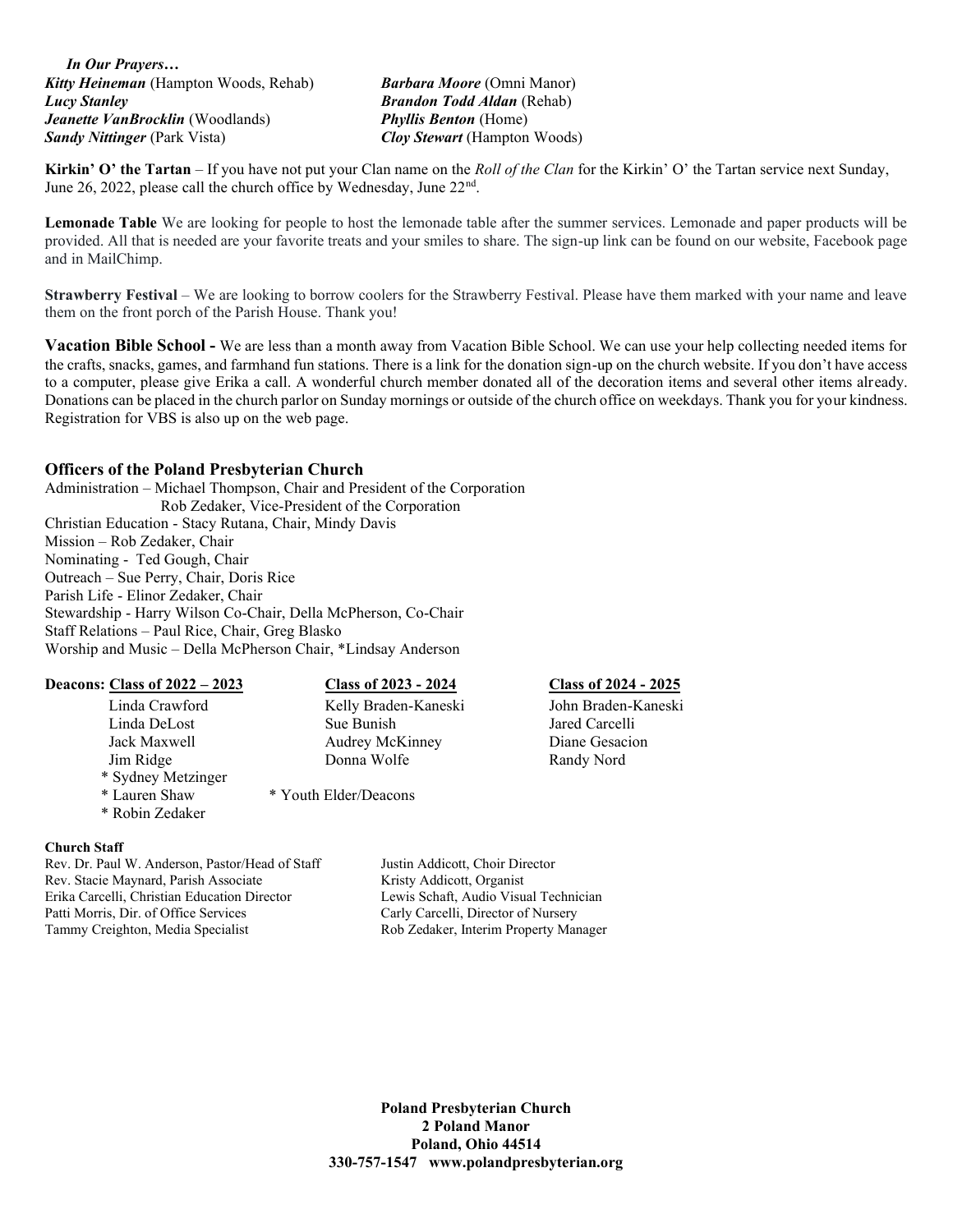*In Our Prayers… Kitty Heineman* (Hampton Woods, Rehab) *Barbara Moore* (Omni Manor) *Lucy Stanley Brandon Todd Aldan* (Rehab) *Jeanette VanBrocklin* (Woodlands) *Phyllis Benton* (Home) *Sandy Nittinger* (Park Vista) *Cloy Stewart* (Hampton Woods)

**Kirkin' O' the Tartan** – If you have not put your Clan name on the *Roll of the Clan* for the Kirkin' O' the Tartan service next Sunday, June 26, 2022, please call the church office by Wednesday, June 22<sup>nd</sup>.

**Lemonade Table** We are looking for people to host the lemonade table after the summer services. Lemonade and paper products will be provided. All that is needed are your favorite treats and your smiles to share. The sign-up link can be found on our website, Facebook page and in MailChimp.

**Strawberry Festival** – We are looking to borrow coolers for the Strawberry Festival. Please have them marked with your name and leave them on the front porch of the Parish House. Thank you!

**Vacation Bible School -** We are less than a month away from Vacation Bible School. We can use your help collecting needed items for the crafts, snacks, games, and farmhand fun stations. There is a link for the donation sign-up on the church website. If you don't have access to a computer, please give Erika a call. A wonderful church member donated all of the decoration items and several other items already. Donations can be placed in the church parlor on Sunday mornings or outside of the church office on weekdays. Thank you for your kindness. Registration for VBS is also up on the web page.

## **Officers of the Poland Presbyterian Church**

Administration – Michael Thompson, Chair and President of the Corporation Rob Zedaker, Vice-President of the Corporation Christian Education - Stacy Rutana, Chair, Mindy Davis Mission – Rob Zedaker, Chair Nominating - Ted Gough, Chair Outreach – Sue Perry, Chair, Doris Rice Parish Life - Elinor Zedaker, Chair Stewardship - Harry Wilson Co-Chair, Della McPherson, Co-Chair Staff Relations – Paul Rice, Chair, Greg Blasko Worship and Music – Della McPherson Chair, \*Lindsay Anderson

| Deacons: Class of 2022 – 2023    | <b>Class of 2023 - 2024</b> | Class of $2024 - 2025$ |
|----------------------------------|-----------------------------|------------------------|
| Linda Crawford                   | Kelly Braden-Kaneski        | John Braden-Kaneski    |
| Linda DeLost                     | Sue Bunish                  | Jared Carcelli         |
| Jack Maxwell                     | Audrey McKinney             | Diane Gesacion         |
| Jim Ridge                        | Donna Wolfe                 | Randy Nord             |
| * Sydney Metzinger               |                             |                        |
| * Lauren Shaw<br>* Robin Zedaker | * Youth Elder/Deacons       |                        |

### **Church Staff**

Rev. Dr. Paul W. Anderson, Pastor/Head of Staff Justin Addicott, Choir Director Rev. Stacie Maynard, Parish Associate Kristy Addicott, Organist Erika Carcelli, Christian Education Director Lewis Schaft, Audio Visual Technician Patti Morris, Dir. of Office Services Carly Carly Carcelli, Director of Nursery Tammy Creighton, Media Specialist Rob Zedaker, Interim Property Manager

**Poland Presbyterian Church 2 Poland Manor Poland, Ohio 44514 330-757-1547 www.polandpresbyterian.org**